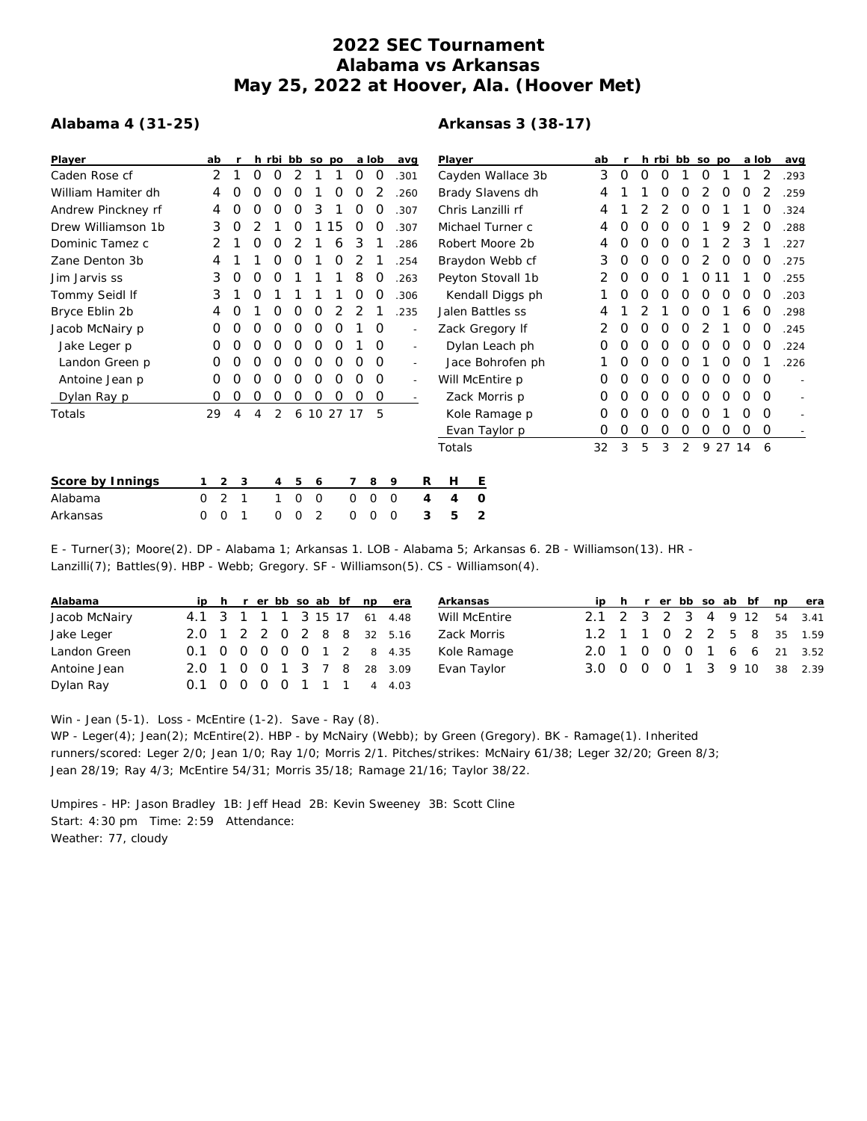## **2022 SEC Tournament Alabama vs Arkansas May 25, 2022 at Hoover, Ala. (Hoover Met)**

## **Alabama 4 (31-25)**

## **Arkansas 3 (38-17)**

| Player             | ab     |             |   | h rbi bb so po |   |   |            |         | a lob    | avg      |                          | Player            |                   | ab |   |   |   | h rbi bb so po |                  |         | a lob |          | avg  |
|--------------------|--------|-------------|---|----------------|---|---|------------|---------|----------|----------|--------------------------|-------------------|-------------------|----|---|---|---|----------------|------------------|---------|-------|----------|------|
| Caden Rose cf      | 2      |             | Ο | O              | 2 |   |            | O       | O        | .301     |                          | Cayden Wallace 3b | 3                 | 0  | Ο | O |   | O              |                  |         | 2     | .293     |      |
| William Hamiter dh | 4      |             | Ω | Ο              | O |   | O          | O       |          | .260     |                          |                   | Brady Slavens dh  | 4  |   |   | Ω | Ω              |                  | O       | O     |          | .259 |
| Andrew Pinckney rf | 4      | Ο           |   |                | Ο | 3 |            |         |          | .307     |                          |                   | Chris Lanzilli rf | 4  |   |   |   | O              |                  |         |       |          | .324 |
| Drew Williamson 1b | 3      | O           |   |                | Ο |   | 15         | O       |          | .307     |                          |                   | Michael Turner c  | 4  | Ο | O | Ω | O              |                  | 9       |       | O        | .288 |
| Dominic Tamez c    | 2      |             | Ο | O              |   |   | 6          | 3       |          | .286     |                          |                   | Robert Moore 2b   | 4  | O | Ο | O | O              |                  |         | 3     |          | .227 |
| Zane Denton 3b     |        |             |   |                | O |   | O          |         |          | .254     |                          |                   | Braydon Webb cf   | 3  | 0 | Ο | O | O              | 2                | O       | O     | O        | .275 |
| Jim Jarvis ss      | 3      | 0           | Ω | Ω              |   |   |            | 8       | O        | .263     |                          |                   | Peyton Stovall 1b |    | 0 | Ο | O |                | O                |         |       | O        | .255 |
| Tommy Seidl If     | 3      |             | Ω |                |   |   |            | Ο       | Ω        | .306     |                          |                   | Kendall Diggs ph  |    | Ο | Ο | O | O              | O                | Ο       | O     | O        | .203 |
| Bryce Eblin 2b     |        |             |   |                |   | Ο |            |         |          | .235     |                          |                   | Jalen Battles ss  | 4  |   |   |   | O              | $\left( \right)$ |         | 6     | O        | .298 |
| Jacob McNairy p    | 0      | O           | Ω | Ο              | Ο | 0 | 0          |         | 0        |          | $\overline{\phantom{a}}$ |                   | Zack Gregory If   |    | 0 | 0 | O | O              |                  |         | O     | O        | .245 |
| Jake Leger p       | 0      |             |   | Ο              | 0 | Ο | 0          |         | O        |          |                          |                   | Dylan Leach ph    | 0  | Ο | Ο | O | O              | O                | O       | 0     | 0        | .224 |
| Landon Green p     | O      | Ω           | Ω | Ο              | O | O | O          | Ο       | $\Omega$ |          | $\overline{\phantom{a}}$ |                   | Jace Bohrofen ph  |    | Ο | O | O | O              |                  | 0       | 0     |          | .226 |
| Antoine Jean p     | 0      |             |   |                | Ο | O | O          | O       | 0        |          | $\overline{\phantom{a}}$ |                   | Will McEntire p   | 0  | 0 | 0 | O | O              | O                | Ο       | 0     | O        |      |
| Dylan Ray p        | 0      | O           | O | 0              | 0 | 0 | 0          | 0       | 0        |          |                          |                   | Zack Morris p     | 0  |   | Ο | O | O              | O                | O       | Ο     | $\Omega$ |      |
| Totals             | 29     | 4           | 4 | 2              |   |   | 6 10 27 17 |         | .5       |          |                          | Kole Ramage p     |                   | 0  | Ο | Ο | 0 | 0              | 0                |         | Ο     | $\Omega$ |      |
|                    |        |             |   |                |   |   |            |         |          |          |                          | Evan Taylor p     |                   | 0  | 0 | 0 | 0 | 0              | 0                | 0       | 0     | 0        |      |
|                    |        |             |   |                |   |   |            |         |          |          |                          | Totals            |                   | 32 | 3 | 5 | 3 | 2              |                  | 9 27 14 |       | -6       |      |
| Score by Innings   |        | $2^{\circ}$ | 3 | 4              | 5 | 6 |            |         | 8        | 9        | R                        | Н                 | E                 |    |   |   |   |                |                  |         |       |          |      |
| Alabama            | 0      | 2           |   |                | 0 | 0 |            | $\circ$ | $\circ$  | 0        | 4                        | 4                 | $\circ$           |    |   |   |   |                |                  |         |       |          |      |
| Arkansas           | 0<br>0 |             |   | Ω              | Ο | 2 |            | 0       |          | $\Omega$ | 3                        | 5                 | $\overline{2}$    |    |   |   |   |                |                  |         |       |          |      |

E - Turner(3); Moore(2). DP - Alabama 1; Arkansas 1. LOB - Alabama 5; Arkansas 6. 2B - Williamson(13). HR - Lanzilli(7); Battles(9). HBP - Webb; Gregory. SF - Williamson(5). CS - Williamson(4).

| Alabama       |                             |  |  |  |  | ip h r er bb so ab bf np era |
|---------------|-----------------------------|--|--|--|--|------------------------------|
| Jacob McNairy | 4.1 3 1 1 1 3 15 17 61 4.48 |  |  |  |  |                              |
| Jake Leger    | 2.0 1 2 2 0 2 8 8 32 5.16   |  |  |  |  |                              |
| Landon Green  | 0.1 0 0 0 0 0 1 2 8 4.35    |  |  |  |  |                              |
| Antoine Jean  | 2.0 1 0 0 1 3 7 8 28 3.09   |  |  |  |  |                              |
| Dylan Ray     | 0.1 0 0 0 0 1 1 1 4 4.03    |  |  |  |  |                              |

|  |  |  |  | ip h r er bb so ab bf np era<br>2.1 2 3 2 3 4 9 12 54 3.41<br>1.2 1 1 0 2 2 5 8 35 1.59<br>2.0 1 0 0 0 1 6 6 21 3.52<br>3.0 0 0 0 1 3 9 10 38 2.39 |
|--|--|--|--|----------------------------------------------------------------------------------------------------------------------------------------------------|

Win - Jean (5-1). Loss - McEntire (1-2). Save - Ray (8).

WP - Leger(4); Jean(2); McEntire(2). HBP - by McNairy (Webb); by Green (Gregory). BK - Ramage(1). Inherited runners/scored: Leger 2/0; Jean 1/0; Ray 1/0; Morris 2/1. Pitches/strikes: McNairy 61/38; Leger 32/20; Green 8/3; Jean 28/19; Ray 4/3; McEntire 54/31; Morris 35/18; Ramage 21/16; Taylor 38/22.

Umpires - HP: Jason Bradley 1B: Jeff Head 2B: Kevin Sweeney 3B: Scott Cline Start: 4:30 pm Time: 2:59 Attendance: Weather: 77, cloudy